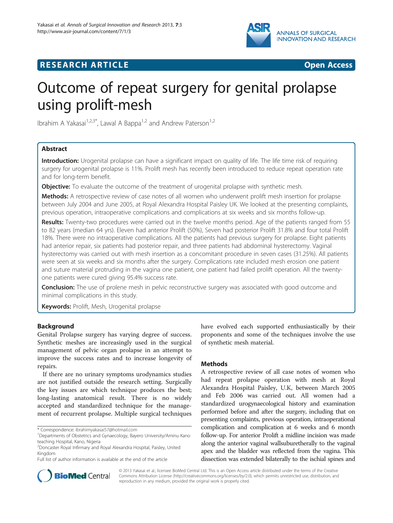

## **RESEARCH ARTICLE CONSUMING A RESEARCH ARTICLE**



# Outcome of repeat surgery for genital prolapse using prolift-mesh

Ibrahim A Yakasai<sup>1,2,3\*</sup>, Lawal A Bappa<sup>1,2</sup> and Andrew Paterson<sup>1,2</sup>

## Abstract

Introduction: Urogenital prolapse can have a significant impact on quality of life. The life time risk of requiring surgery for urogenital prolapse is 11%. Prolift mesh has recently been introduced to reduce repeat operation rate and for long-term benefit.

**Objective:** To evaluate the outcome of the treatment of urogenital prolapse with synthetic mesh.

Methods: A retrospective review of case notes of all women who underwent prolift mesh insertion for prolapse between July 2004 and June 2005, at Royal Alexandra Hospital Paisley UK. We looked at the presenting complaints, previous operation, intraoperative complications and complications at six weeks and six months follow-up.

Results: Twenty-two procedures were carried out in the twelve months period. Age of the patients ranged from 55 to 82 years (median 64 yrs). Eleven had anterior Prolift (50%), Seven had posterior Prolift 31.8% and four total Prolift 18%. There were no intraoperative complications. All the patients had previous surgery for prolapse. Eight patients had anterior repair, six patients had posterior repair, and three patients had abdominal hysterectomy. Vaginal hysterectomy was carried out with mesh insertion as a concomitant procedure in seven cases (31.25%). All patients were seen at six weeks and six months after the surgery. Complications rate included mesh erosion one patient and suture material protruding in the vagina one patient, one patient had failed prolift operation. All the twentyone patients were cured giving 95.4% success rate.

**Conclusion:** The use of prolene mesh in pelvic reconstructive surgery was associated with good outcome and minimal complications in this study.

Keywords: Prolift, Mesh, Urogenital prolapse

## Background

Genital Prolapse surgery has varying degree of success. Synthetic meshes are increasingly used in the surgical management of pelvic organ prolapse in an attempt to improve the success rates and to increase longevity of repairs.

If there are no urinary symptoms urodynamics studies are not justified outside the research setting. Surgically the key issues are which technique produces the best; long-lasting anatomical result. There is no widely accepted and standardized technique for the management of recurrent prolapse. Multiple surgical techniques

Full list of author information is available at the end of the article

have evolved each supported enthusiastically by their proponents and some of the techniques involve the use of synthetic mesh material.

## Methods

A retrospective review of all case notes of women who had repeat prolapse operation with mesh at Royal Alexandra Hospital Paisley, U.K, between March 2005 and Feb 2006 was carried out. All women had a standardized urogynaecological history and examination performed before and after the surgery, including that on presenting complaints, previous operation, intraoperational complication and complication at 6 weeks and 6 month follow-up. For anterior Prolift a midline incision was made along the anterior vaginal wallsuburetherally to the vaginal apex and the bladder was reflected from the vagina. This dissection was extended bilaterally to the ischial spines and



© 2013 Yakasai et al.; licensee BioMed Central Ltd. This is an Open Access article distributed under the terms of the Creative Commons Attribution License [\(http://creativecommons.org/licenses/by/2.0\)](http://creativecommons.org/licenses/by/2.0), which permits unrestricted use, distribution, and reproduction in any medium, provided the original work is properly cited.

<sup>\*</sup> Correspondence: [ibrahimyakasai57@hotmail.com](mailto:ibrahimyakasai57@hotmail.com) <sup>1</sup>

<sup>&</sup>lt;sup>1</sup>Departments of Obstetrics and Gynaecology, Bayero University/Aminu Kano teaching Hospital, Kano, Nigeria

<sup>2</sup> Doncaster Royal Infirmary and Royal Alexandra Hospital, Paisley, United Kingdom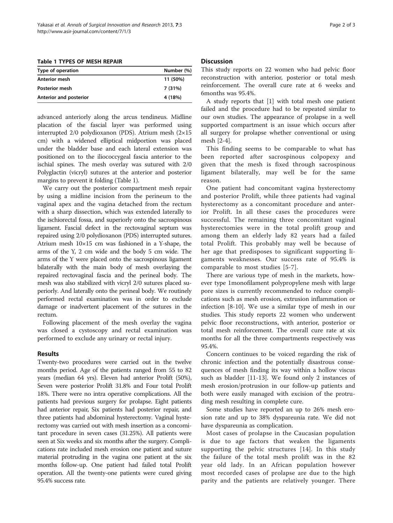Table 1 TYPES OF MESH REPAIR

| Type of operation      | Number (%) |
|------------------------|------------|
| Anterior mesh          | 11 (50%)   |
| <b>Posterior mesh</b>  | 7 (31%)    |
| Anterior and posterior | 4 (18%)    |

advanced anteriorly along the arcus tendineus. Midline placation of the fascial layer was performed using interrupted 2/0 polydioxanon (PDS). Atrium mesh (2×15 cm) with a widened elliptical midportion was placed under the bladder base and each lateral extension was positioned on to the iliococcygeal fascia anterior to the ischial spines. The mesh overlay was sutured with 2/0 Polyglactin (vicryl) sutures at the anterior and posterior margins to prevent it folding (Table 1).

We carry out the posterior compartment mesh repair by using a midline incision from the perineum to the vaginal apex and the vagina detached from the rectum with a sharp dissection, which was extended laterally to the ischiorectal fossa, and superiorly onto the sacrospinous ligament. Fascial defect in the rectovaginal septum was repaired using 2/0 polydioxanon (PDS) interrupted sutures. Atrium mesh 10×15 cm was fashioned in a Y-shape, the arms of the Y, 2 cm wide and the body 5 cm wide. The arms of the Y were placed onto the sacrospinous ligament bilaterally with the main body of mesh overlaying the repaired rectovaginal fascia and the perineal body. The mesh was also stabilized with vicryl 2/0 sutures placed superiorly. And laterally onto the perineal body. We routinely performed rectal examination was in order to exclude damage or inadvertent placement of the sutures in the rectum.

Following placement of the mesh overlay the vagina was closed a cystoscopy and rectal examination was performed to exclude any urinary or rectal injury.

## Results

Twenty-two procedures were carried out in the twelve months period. Age of the patients ranged from 55 to 82 years (median 64 yrs). Eleven had anterior Prolift (50%), Seven were posterior Prolift 31.8% and Four total Prolift 18%. There were no intra operative complications. All the patients had previous surgery for prolapse. Eight patients had anterior repair, Six patients had posterior repair, and three patients had abdominal hysterectomy. Vaginal hysterectomy was carried out with mesh insertion as a concomitant procedure in seven cases (31.25%). All patients were seen at Six weeks and six months after the surgery. Complications rate included mesh erosion one patient and suture material protruding in the vagina one patient at the six months follow-up. One patient had failed total Prolift operation. All the twenty-one patients were cured giving 95.4% success rate.

## Discussion

This study reports on 22 women who had pelvic floor reconstruction with anterior, posterior or total mesh reinforcement. The overall cure rate at 6 weeks and 6months was 95.4%.

A study reports that [\[1](#page-2-0)] with total mesh one patient failed and the procedure had to be repeated similar to our own studies. The appearance of prolapse in a well supported compartment is an issue which occurs after all surgery for prolapse whether conventional or using mesh [[2](#page-2-0)-[4\]](#page-2-0).

This finding seems to be comparable to what has been reported after sacrospinous colpopexy and given that the mesh is fixed through sacrospinous ligament bilaterally, may well be for the same reason.

One patient had concomitant vagina hysterectomy and posterior Prolift, while three patients had vaginal hysterectomy as a concomitant procedure and anterior Prolift. In all these cases the procedures were successful. The remaining three concomitant vaginal hysterectomies were in the total prolift group and among them an elderly lady 82 years had a failed total Prolift. This probably may well be because of her age that predisposes to significant supporting ligaments weaknesses. Our success rate of 95.4% is comparable to most studies [\[5-7](#page-2-0)].

There are various type of mesh in the markets, however type 1monofilament polypropylene mesh with large pore sizes is currently recommended to reduce complications such as mesh erosion, extrusion inflammation or infection [\[8-10](#page-2-0)]. We use a similar type of mesh in our studies. This study reports 22 women who underwent pelvic floor reconstructions, with anterior, posterior or total mesh reinforcement. The overall cure rate at six months for all the three compartments respectively was 95.4%.

Concern continues to be voiced regarding the risk of chronic infection and the potentially disastrous consequences of mesh finding its way within a hollow viscus such as bladder [\[11](#page-2-0)-[13\]](#page-2-0). We found only 2 instances of mesh erosion/protrusion in our follow-up patients and both were easily managed with excision of the protruding mesh resulting in complete cure.

Some studies have reported an up to 26% mesh erosion rate and up to 38% dyspareunia rate. We did not have dyspareunia as complication.

Most cases of prolapse in the Caucasian population is due to age factors that weaken the ligaments supporting the pelvic structures [[14](#page-2-0)]. In this study the failure of the total mesh prolift was in the 82 year old lady. In an African population however most recorded cases of prolapse are due to the high parity and the patients are relatively younger. There